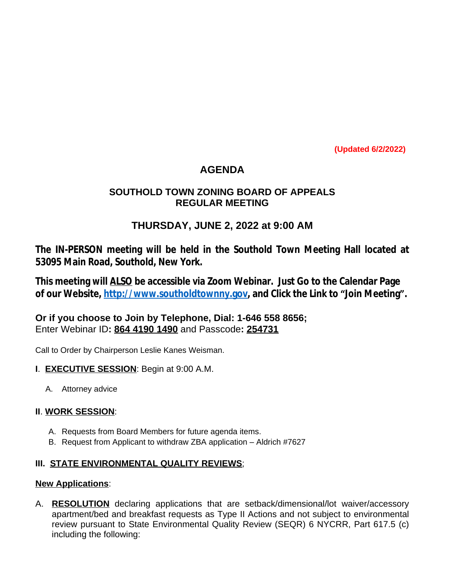**(Updated 6/2/2022)**

# **AGENDA**

### **SOUTHOLD TOWN ZONING BOARD OF APPEALS REGULAR MEETING**

## **THURSDAY, JUNE 2, 2022 at 9:00 AM**

**The IN-PERSON meeting will be held in the Southold Town Meeting Hall located at 53095 Main Road, Southold, New York.**

**This meeting will ALSO be accessible via Zoom Webinar. Just Go to the Calendar Page of our Website, [http://www.southoldtownny.gov,](http://www.southoldtownny.gov) and Click the Link to "Join Meeting".**

**Or if you choose to Join by Telephone, Dial: 1-646 558 8656;** Enter Webinar ID**: 864 4190 1490** and Passcode**: 254731**

Call to Order by Chairperson Leslie Kanes Weisman.

- **I**. **EXECUTIVE SESSION**: Begin at 9:00 A.M.
	- A. Attorney advice

### **II**. **WORK SESSION**:

- A. Requests from Board Members for future agenda items.
- B. Request from Applicant to withdraw ZBA application Aldrich #7627

### **III. STATE ENVIRONMENTAL QUALITY REVIEWS**;

#### **New Applications**:

A. **RESOLUTION** declaring applications that are setback/dimensional/lot waiver/accessory apartment/bed and breakfast requests as Type II Actions and not subject to environmental review pursuant to State Environmental Quality Review (SEQR) 6 NYCRR, Part 617.5 (c) including the following: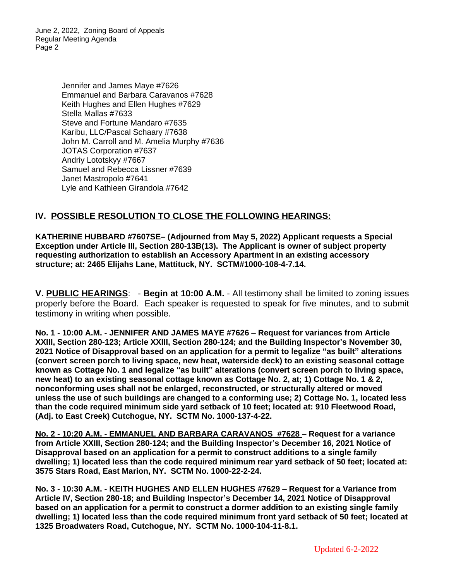June 2, 2022, Zoning Board of Appeals Regular Meeting Agenda Page 2

> Jennifer and James Maye #7626 Emmanuel and Barbara Caravanos #7628 Keith Hughes and Ellen Hughes #7629 Stella Mallas #7633 Steve and Fortune Mandaro #7635 Karibu, LLC/Pascal Schaary #7638 John M. Carroll and M. Amelia Murphy #7636 JOTAS Corporation #7637 Andriy Lototskyy #7667 Samuel and Rebecca Lissner #7639 Janet Mastropolo #7641 Lyle and Kathleen Girandola #7642

### **IV. POSSIBLE RESOLUTION TO CLOSE THE FOLLOWING HEARINGS:**

**KATHERINE HUBBARD #7607SE– (Adjourned from May 5, 2022) Applicant requests a Special Exception under Article III, Section 280-13B(13). The Applicant is owner of subject property requesting authorization to establish an Accessory Apartment in an existing accessory structure; at: 2465 Elijahs Lane, Mattituck, NY. SCTM#1000-108-4-7.14.**

**V. PUBLIC HEARINGS**: - **Begin at 10:00 A.M.** - All testimony shall be limited to zoning issues properly before the Board. Each speaker is requested to speak for five minutes, and to submit testimony in writing when possible.

**No. 1 - 10:00 A.M. - JENNIFER AND JAMES MAYE #7626 – Request for variances from Article XXIII, Section 280-123; Article XXIII, Section 280-124; and the Building Inspector's November 30, 2021 Notice of Disapproval based on an application for a permit to legalize "as built" alterations (convert screen porch to living space, new heat, waterside deck) to an existing seasonal cottage known as Cottage No. 1 and legalize "as built" alterations (convert screen porch to living space, new heat) to an existing seasonal cottage known as Cottage No. 2, at; 1) Cottage No. 1 & 2, nonconforming uses shall not be enlarged, reconstructed, or structurally altered or moved unless the use of such buildings are changed to a conforming use; 2) Cottage No. 1, located less than the code required minimum side yard setback of 10 feet; located at: 910 Fleetwood Road, (Adj. to East Creek) Cutchogue, NY. SCTM No. 1000-137-4-22.**

**No. 2 - 10:20 A.M. - EMMANUEL AND BARBARA CARAVANOS #7628 – Request for a variance from Article XXIII, Section 280-124; and the Building Inspector's December 16, 2021 Notice of Disapproval based on an application for a permit to construct additions to a single family dwelling; 1) located less than the code required minimum rear yard setback of 50 feet; located at: 3575 Stars Road, East Marion, NY. SCTM No. 1000-22-2-24.**

**No. 3 - 10:30 A.M. - KEITH HUGHES AND ELLEN HUGHES #7629 – Request for a Variance from Article IV, Section 280-18; and Building Inspector's December 14, 2021 Notice of Disapproval based on an application for a permit to construct a dormer addition to an existing single family dwelling; 1) located less than the code required minimum front yard setback of 50 feet; located at 1325 Broadwaters Road, Cutchogue, NY. SCTM No. 1000-104-11-8.1.**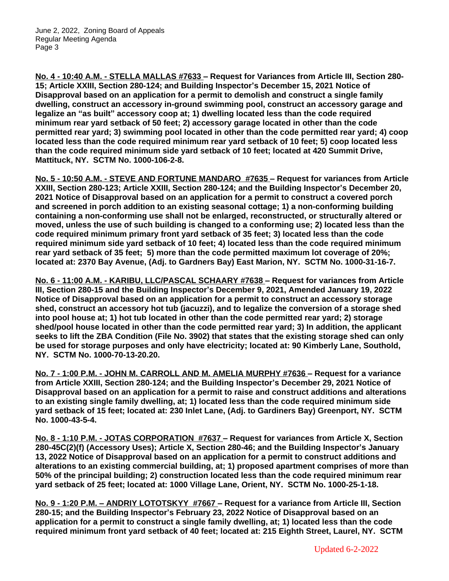**No. 4 - 10:40 A.M. - STELLA MALLAS #7633 – Request for Variances from Article III, Section 280- 15; Article XXIII, Section 280-124; and Building Inspector's December 15, 2021 Notice of Disapproval based on an application for a permit to demolish and construct a single family dwelling, construct an accessory in-ground swimming pool, construct an accessory garage and legalize an "as built" accessory coop at; 1) dwelling located less than the code required minimum rear yard setback of 50 feet; 2) accessory garage located in other than the code permitted rear yard; 3) swimming pool located in other than the code permitted rear yard; 4) coop located less than the code required minimum rear yard setback of 10 feet; 5) coop located less than the code required minimum side yard setback of 10 feet; located at 420 Summit Drive, Mattituck, NY. SCTM No. 1000-106-2-8.**

**No. 5 - 10:50 A.M. - STEVE AND FORTUNE MANDARO #7635 – Request for variances from Article XXIII, Section 280-123; Article XXIII, Section 280-124; and the Building Inspector's December 20, 2021 Notice of Disapproval based on an application for a permit to construct a covered porch and screened in porch addition to an existing seasonal cottage; 1) a non-conforming building containing a non-conforming use shall not be enlarged, reconstructed, or structurally altered or moved, unless the use of such building is changed to a conforming use; 2) located less than the code required minimum primary front yard setback of 35 feet; 3) located less than the code required minimum side yard setback of 10 feet; 4) located less than the code required minimum rear yard setback of 35 feet; 5) more than the code permitted maximum lot coverage of 20%; located at: 2370 Bay Avenue, (Adj. to Gardners Bay) East Marion, NY. SCTM No. 1000-31-16-7.**

**No. 6 - 11:00 A.M. - KARIBU, LLC/PASCAL SCHAARY #7638 – Request for variances from Article III, Section 280-15 and the Building Inspector's December 9, 2021, Amended January 19, 2022 Notice of Disapproval based on an application for a permit to construct an accessory storage shed, construct an accessory hot tub (jacuzzi), and to legalize the conversion of a storage shed into pool house at; 1) hot tub located in other than the code permitted rear yard; 2) storage shed/pool house located in other than the code permitted rear yard; 3) In addition, the applicant seeks to lift the ZBA Condition (File No. 3902) that states that the existing storage shed can only be used for storage purposes and only have electricity; located at: 90 Kimberly Lane, Southold, NY. SCTM No. 1000-70-13-20.20.**

**No. 7 - 1:00 P.M. - JOHN M. CARROLL AND M. AMELIA MURPHY #7636 – Request for a variance from Article XXIII, Section 280-124; and the Building Inspector's December 29, 2021 Notice of Disapproval based on an application for a permit to raise and construct additions and alterations to an existing single family dwelling, at; 1) located less than the code required minimum side yard setback of 15 feet; located at: 230 Inlet Lane, (Adj. to Gardiners Bay) Greenport, NY. SCTM No. 1000-43-5-4.**

**No. 8 - 1:10 P.M. - JOTAS CORPORATION #7637 – Request for variances from Article X, Section 280-45C(2)(f) (Accessory Uses); Article X, Section 280-46; and the Building Inspector's January 13, 2022 Notice of Disapproval based on an application for a permit to construct additions and alterations to an existing commercial building, at; 1) proposed apartment comprises of more than 50% of the principal building; 2) construction located less than the code required minimum rear yard setback of 25 feet; located at: 1000 Village Lane, Orient, NY. SCTM No. 1000-25-1-18.**

**No. 9 - 1:20 P.M. – ANDRIY LOTOTSKYY #7667 – Request for a variance from Article III, Section 280-15; and the Building Inspector's February 23, 2022 Notice of Disapproval based on an application for a permit to construct a single family dwelling, at; 1) located less than the code required minimum front yard setback of 40 feet; located at: 215 Eighth Street, Laurel, NY. SCTM**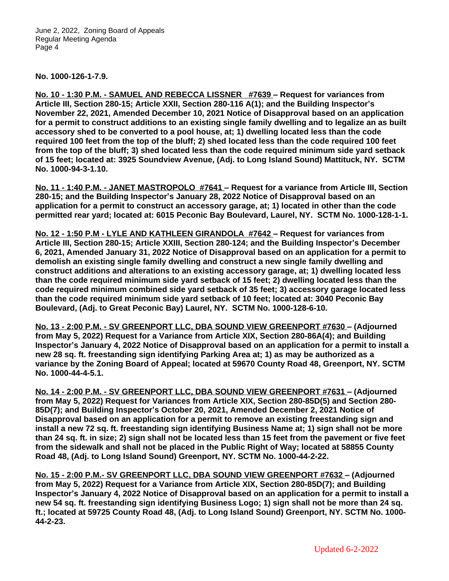June 2, 2022, Zoning Board of Appeals Regular Meeting Agenda Page 4

**No. 1000-126-1-7.9.**

**No. 10 - 1:30 P.M. - SAMUEL AND REBECCA LISSNER #7639 – Request for variances from Article III, Section 280-15; Article XXII, Section 280-116 A(1); and the Building Inspector's November 22, 2021, Amended December 10, 2021 Notice of Disapproval based on an application for a permit to construct additions to an existing single family dwelling and to legalize an as built accessory shed to be converted to a pool house, at; 1) dwelling located less than the code required 100 feet from the top of the bluff; 2) shed located less than the code required 100 feet from the top of the bluff; 3) shed located less than the code required minimum side yard setback of 15 feet; located at: 3925 Soundview Avenue, (Adj. to Long Island Sound) Mattituck, NY. SCTM No. 1000-94-3-1.10.**

**No. 11 - 1:40 P.M. - JANET MASTROPOLO #7641 – Request for a variance from Article III, Section 280-15; and the Building Inspector's January 28, 2022 Notice of Disapproval based on an application for a permit to construct an accessory garage, at; 1) located in other than the code permitted rear yard; located at: 6015 Peconic Bay Boulevard, Laurel, NY. SCTM No. 1000-128-1-1.**

**No. 12 - 1:50 P.M - LYLE AND KATHLEEN GIRANDOLA #7642 – Request for variances from Article III, Section 280-15; Article XXIII, Section 280-124; and the Building Inspector's December 6, 2021, Amended January 31, 2022 Notice of Disapproval based on an application for a permit to demolish an existing single family dwelling and construct a new single family dwelling and construct additions and alterations to an existing accessory garage, at; 1) dwelling located less than the code required minimum side yard setback of 15 feet; 2) dwelling located less than the code required minimum combined side yard setback of 35 feet; 3) accessory garage located less than the code required minimum side yard setback of 10 feet; located at: 3040 Peconic Bay Boulevard, (Adj. to Great Peconic Bay) Laurel, NY. SCTM No. 1000-128-6-10.**

**No. 13 - 2:00 P.M. - SV GREENPORT LLC, DBA SOUND VIEW GREENPORT #7630 – (Adjourned from May 5, 2022) Request for a Variance from Article XIX, Section 280-86A(4); and Building Inspector's January 4, 2022 Notice of Disapproval based on an application for a permit to install a new 28 sq. ft. freestanding sign identifying Parking Area at; 1) as may be authorized as a variance by the Zoning Board of Appeal; located at 59670 County Road 48, Greenport, NY. SCTM No. 1000-44-4-5.1.**

**No. 14 - 2:00 P.M. - SV GREENPORT LLC, DBA SOUND VIEW GREENPORT #7631 – (Adjourned from May 5, 2022) Request for Variances from Article XIX, Section 280-85D(5) and Section 280- 85D(7); and Building Inspector's October 20, 2021, Amended December 2, 2021 Notice of Disapproval based on an application for a permit to remove an existing freestanding sign and install a new 72 sq. ft. freestanding sign identifying Business Name at; 1) sign shall not be more than 24 sq. ft. in size; 2) sign shall not be located less than 15 feet from the pavement or five feet from the sidewalk and shall not be placed in the Public Right of Way; located at 58855 County Road 48, (Adj. to Long Island Sound) Greenport, NY. SCTM No. 1000-44-2-22.**

**No. 15 - 2:00 P.M.- SV GREENPORT LLC, DBA SOUND VIEW GREENPORT #7632 – (Adjourned from May 5, 2022) Request for a Variance from Article XIX, Section 280-85D(7); and Building Inspector's January 4, 2022 Notice of Disapproval based on an application for a permit to install a new 54 sq. ft. freestanding sign identifying Business Logo; 1) sign shall not be more than 24 sq. ft.; located at 59725 County Road 48, (Adj. to Long Island Sound) Greenport, NY. SCTM No. 1000- 44-2-23.**